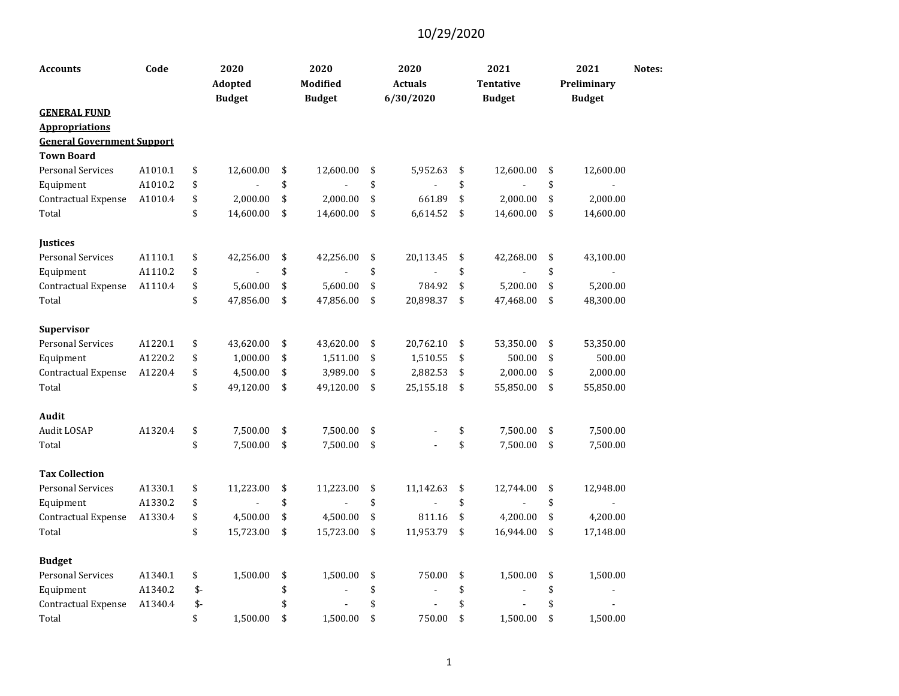| <b>Accounts</b>                   | Code    |      | 2020<br>Adopted<br><b>Budget</b> | 2020<br><b>Modified</b><br><b>Budget</b> | 2020<br><b>Actuals</b><br>6/30/2020 | 2021<br><b>Tentative</b><br><b>Budget</b> | 2021<br>Preliminary<br><b>Budget</b> | Notes: |
|-----------------------------------|---------|------|----------------------------------|------------------------------------------|-------------------------------------|-------------------------------------------|--------------------------------------|--------|
| <b>GENERAL FUND</b>               |         |      |                                  |                                          |                                     |                                           |                                      |        |
| <b>Appropriations</b>             |         |      |                                  |                                          |                                     |                                           |                                      |        |
| <b>General Government Support</b> |         |      |                                  |                                          |                                     |                                           |                                      |        |
| <b>Town Board</b>                 |         |      |                                  |                                          |                                     |                                           |                                      |        |
| <b>Personal Services</b>          | A1010.1 | \$   | 12,600.00                        | \$<br>12,600.00                          | \$<br>5,952.63                      | \$<br>12,600.00                           | \$<br>12,600.00                      |        |
| Equipment                         | A1010.2 | \$   |                                  | \$                                       | \$                                  | \$                                        | \$                                   |        |
| Contractual Expense               | A1010.4 | \$   | 2,000.00                         | \$<br>2,000.00                           | \$<br>661.89                        | \$<br>2,000.00                            | \$<br>2,000.00                       |        |
| Total                             |         | \$   | 14,600.00                        | \$<br>14,600.00                          | \$<br>6,614.52                      | \$<br>14,600.00                           | \$<br>14,600.00                      |        |
| Justices                          |         |      |                                  |                                          |                                     |                                           |                                      |        |
| <b>Personal Services</b>          | A1110.1 | \$   | 42,256.00                        | \$<br>42,256.00                          | \$<br>20,113.45                     | \$<br>42,268.00                           | \$<br>43,100.00                      |        |
| Equipment                         | A1110.2 | \$   |                                  | \$                                       | \$                                  | \$                                        | \$                                   |        |
| Contractual Expense               | A1110.4 | \$   | 5,600.00                         | \$<br>5,600.00                           | \$<br>784.92                        | \$<br>5,200.00                            | \$<br>5,200.00                       |        |
| Total                             |         | \$   | 47,856.00                        | \$<br>47,856.00                          | \$<br>20,898.37                     | \$<br>47,468.00                           | \$<br>48,300.00                      |        |
| Supervisor                        |         |      |                                  |                                          |                                     |                                           |                                      |        |
| <b>Personal Services</b>          | A1220.1 | \$   | 43,620.00                        | \$<br>43,620.00                          | \$<br>20,762.10                     | \$<br>53,350.00                           | \$<br>53,350.00                      |        |
| Equipment                         | A1220.2 | \$   | 1,000.00                         | \$<br>1,511.00                           | \$<br>1,510.55                      | \$<br>500.00                              | \$<br>500.00                         |        |
| Contractual Expense               | A1220.4 | \$   | 4,500.00                         | \$<br>3,989.00                           | \$<br>2,882.53                      | \$<br>2,000.00                            | \$<br>2,000.00                       |        |
| Total                             |         | \$   | 49,120.00                        | \$<br>49,120.00                          | \$<br>25,155.18                     | \$<br>55,850.00                           | \$<br>55,850.00                      |        |
| Audit                             |         |      |                                  |                                          |                                     |                                           |                                      |        |
| Audit LOSAP                       | A1320.4 | \$   | 7,500.00                         | \$<br>7,500.00                           | \$                                  | \$<br>7,500.00                            | \$<br>7,500.00                       |        |
| Total                             |         | \$   | 7,500.00                         | \$<br>7,500.00                           | \$                                  | \$<br>7,500.00                            | \$<br>7,500.00                       |        |
| <b>Tax Collection</b>             |         |      |                                  |                                          |                                     |                                           |                                      |        |
| <b>Personal Services</b>          | A1330.1 | \$   | 11,223.00                        | \$<br>11,223.00                          | \$<br>11,142.63                     | \$<br>12,744.00                           | \$<br>12,948.00                      |        |
| Equipment                         | A1330.2 | \$   |                                  | \$                                       | \$                                  | \$                                        | \$<br>$\blacksquare$                 |        |
| Contractual Expense               | A1330.4 | \$   | 4,500.00                         | \$<br>4,500.00                           | \$<br>811.16                        | \$<br>4,200.00                            | \$<br>4,200.00                       |        |
| Total                             |         | \$   | 15,723.00                        | \$<br>15,723.00                          | \$<br>11,953.79                     | \$<br>16,944.00                           | \$<br>17,148.00                      |        |
| <b>Budget</b>                     |         |      |                                  |                                          |                                     |                                           |                                      |        |
| <b>Personal Services</b>          | A1340.1 | \$   | 1,500.00                         | \$<br>1,500.00                           | \$<br>750.00                        | \$<br>1,500.00                            | \$<br>1,500.00                       |        |
| Equipment                         | A1340.2 | $$-$ |                                  | \$                                       | \$                                  | \$                                        | \$<br>$\overline{a}$                 |        |
| Contractual Expense               | A1340.4 | \$-  |                                  | \$                                       | \$                                  | \$                                        | \$                                   |        |
| Total                             |         | \$   | 1,500.00                         | \$<br>1,500.00                           | \$<br>750.00                        | \$<br>1,500.00                            | \$<br>1,500.00                       |        |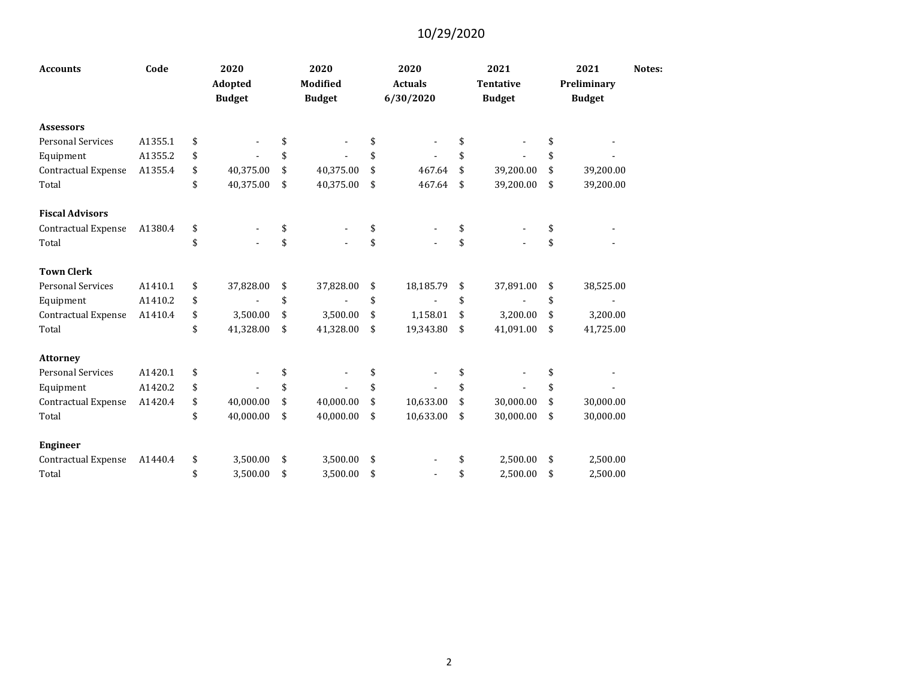| <b>Accounts</b>            | Code    | 2020<br>Adopted<br><b>Budget</b> | 2020<br><b>Modified</b><br><b>Budget</b> | 2020<br><b>Actuals</b><br>6/30/2020 | 2021<br><b>Tentative</b><br><b>Budget</b> | 2021<br>Preliminary<br><b>Budget</b> | Notes: |
|----------------------------|---------|----------------------------------|------------------------------------------|-------------------------------------|-------------------------------------------|--------------------------------------|--------|
| <b>Assessors</b>           |         |                                  |                                          |                                     |                                           |                                      |        |
| <b>Personal Services</b>   | A1355.1 | \$                               |                                          |                                     |                                           | \$                                   |        |
| Equipment                  | A1355.2 | \$                               | \$                                       | \$                                  | \$                                        | \$                                   |        |
| <b>Contractual Expense</b> | A1355.4 | \$<br>40,375.00                  | \$<br>40,375.00                          | \$<br>467.64                        | \$<br>39,200.00                           | \$<br>39,200.00                      |        |
| Total                      |         | \$<br>40,375.00                  | \$<br>40,375.00                          | \$<br>467.64                        | \$<br>39,200.00                           | \$<br>39,200.00                      |        |
| <b>Fiscal Advisors</b>     |         |                                  |                                          |                                     |                                           |                                      |        |
| Contractual Expense        | A1380.4 | \$                               | \$                                       | \$                                  | \$                                        | \$                                   |        |
| Total                      |         | \$                               | \$                                       | \$                                  | \$                                        | \$                                   |        |
| <b>Town Clerk</b>          |         |                                  |                                          |                                     |                                           |                                      |        |
| <b>Personal Services</b>   | A1410.1 | \$<br>37,828.00                  | \$<br>37,828.00                          | \$<br>18,185.79                     | \$<br>37,891.00                           | \$<br>38,525.00                      |        |
| Equipment                  | A1410.2 | \$                               | \$                                       | \$                                  | \$                                        | \$                                   |        |
| Contractual Expense        | A1410.4 | \$<br>3,500.00                   | \$<br>3,500.00                           | \$<br>1,158.01                      | \$<br>3,200.00                            | \$<br>3,200.00                       |        |
| Total                      |         | \$<br>41,328.00                  | \$<br>41,328.00                          | \$<br>19,343.80                     | \$<br>41,091.00                           | \$<br>41,725.00                      |        |
| <b>Attorney</b>            |         |                                  |                                          |                                     |                                           |                                      |        |
| <b>Personal Services</b>   | A1420.1 | \$                               |                                          | \$                                  |                                           | \$                                   |        |
| Equipment                  | A1420.2 | \$                               | \$                                       | \$                                  | \$                                        | \$                                   |        |
| Contractual Expense        | A1420.4 | \$<br>40,000.00                  | \$<br>40,000.00                          | \$<br>10,633.00                     | \$<br>30,000.00                           | \$<br>30,000.00                      |        |
| Total                      |         | \$<br>40,000.00                  | \$<br>40,000.00                          | \$<br>10,633.00                     | \$<br>30,000.00                           | \$<br>30,000.00                      |        |
| <b>Engineer</b>            |         |                                  |                                          |                                     |                                           |                                      |        |
| <b>Contractual Expense</b> | A1440.4 | \$<br>3,500.00                   | \$<br>3,500.00                           | \$                                  | \$<br>2,500.00                            | \$<br>2,500.00                       |        |
| Total                      |         | \$<br>3.500.00                   | \$<br>3.500.00                           | \$                                  | \$<br>2.500.00                            | \$<br>2.500.00                       |        |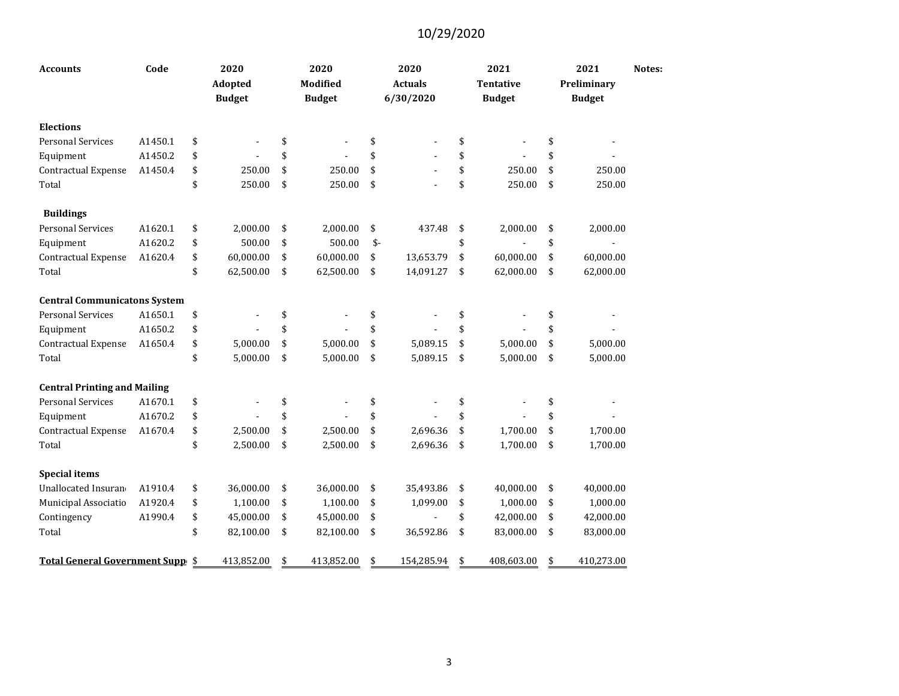| <b>Accounts</b>                     | Code    | 2020<br>Adopted<br><b>Budget</b> | 2020<br>Modified<br><b>Budget</b> |      | 2020<br><b>Actuals</b><br>6/30/2020 | 2021<br><b>Tentative</b><br><b>Budget</b> | 2021<br>Preliminary<br><b>Budget</b> | Notes: |
|-------------------------------------|---------|----------------------------------|-----------------------------------|------|-------------------------------------|-------------------------------------------|--------------------------------------|--------|
| <b>Elections</b>                    |         |                                  |                                   |      |                                     |                                           |                                      |        |
| <b>Personal Services</b>            | A1450.1 | \$                               | \$                                | \$   |                                     | \$                                        | \$                                   |        |
| Equipment                           | A1450.2 | \$                               | \$                                | \$   |                                     | \$                                        | \$                                   |        |
| Contractual Expense                 | A1450.4 | \$<br>250.00                     | \$<br>250.00                      | \$   |                                     | \$<br>250.00                              | \$<br>250.00                         |        |
| Total                               |         | \$<br>250.00                     | \$<br>250.00                      | \$   |                                     | \$<br>250.00                              | \$<br>250.00                         |        |
| <b>Buildings</b>                    |         |                                  |                                   |      |                                     |                                           |                                      |        |
| <b>Personal Services</b>            | A1620.1 | \$<br>2,000.00                   | \$<br>2,000.00                    | \$   | 437.48                              | \$<br>2,000.00                            | \$<br>2,000.00                       |        |
| Equipment                           | A1620.2 | \$<br>500.00                     | \$<br>500.00                      | $$-$ |                                     | \$                                        | \$<br>$\blacksquare$                 |        |
| Contractual Expense                 | A1620.4 | \$<br>60,000.00                  | \$<br>60,000.00                   | \$   | 13,653.79                           | \$<br>60,000.00                           | \$<br>60,000.00                      |        |
| Total                               |         | \$<br>62,500.00                  | \$<br>62,500.00                   | \$   | 14,091.27                           | \$<br>62,000.00                           | \$<br>62,000.00                      |        |
| <b>Central Communicatons System</b> |         |                                  |                                   |      |                                     |                                           |                                      |        |
| <b>Personal Services</b>            | A1650.1 | \$<br>$\blacksquare$             | \$                                | \$   |                                     | \$                                        | \$                                   |        |
| Equipment                           | A1650.2 | \$                               | \$                                | \$   |                                     | \$                                        | \$                                   |        |
| Contractual Expense                 | A1650.4 | \$<br>5,000.00                   | \$<br>5,000.00                    | \$   | 5,089.15                            | \$<br>5,000.00                            | \$<br>5,000.00                       |        |
| Total                               |         | \$<br>5,000.00                   | \$<br>5,000.00                    | \$   | 5,089.15                            | \$<br>5,000.00                            | \$<br>5,000.00                       |        |
| <b>Central Printing and Mailing</b> |         |                                  |                                   |      |                                     |                                           |                                      |        |
| <b>Personal Services</b>            | A1670.1 | \$                               | \$                                | \$   |                                     | \$                                        | \$                                   |        |
| Equipment                           | A1670.2 | \$                               | \$                                | \$   |                                     | \$                                        | \$                                   |        |
| <b>Contractual Expense</b>          | A1670.4 | \$<br>2,500.00                   | \$<br>2,500.00                    | \$   | 2,696.36                            | \$<br>1,700.00                            | \$<br>1,700.00                       |        |
| Total                               |         | \$<br>2,500.00                   | \$<br>2,500.00                    | \$   | 2,696.36                            | \$<br>1,700.00                            | \$<br>1,700.00                       |        |
| <b>Special items</b>                |         |                                  |                                   |      |                                     |                                           |                                      |        |
| Unallocated Insuran                 | A1910.4 | \$<br>36,000.00                  | \$<br>36,000.00                   | \$   | 35,493.86                           | \$<br>40,000.00                           | \$<br>40,000.00                      |        |
| Municipal Associatio                | A1920.4 | \$<br>1,100.00                   | \$<br>1,100.00                    | \$   | 1,099.00                            | \$<br>1,000.00                            | \$<br>1,000.00                       |        |
| Contingency                         | A1990.4 | \$<br>45,000.00                  | \$<br>45,000.00                   | \$   |                                     | \$<br>42,000.00                           | \$<br>42,000.00                      |        |
| Total                               |         | \$<br>82,100.00                  | \$<br>82,100.00                   | \$   | 36,592.86                           | \$<br>83,000.00                           | \$<br>83,000.00                      |        |
| Total General Government Supp \$    |         | 413,852.00                       | \$<br>413,852.00                  | \$   | 154,285.94                          | \$<br>408,603.00                          | \$<br>410,273.00                     |        |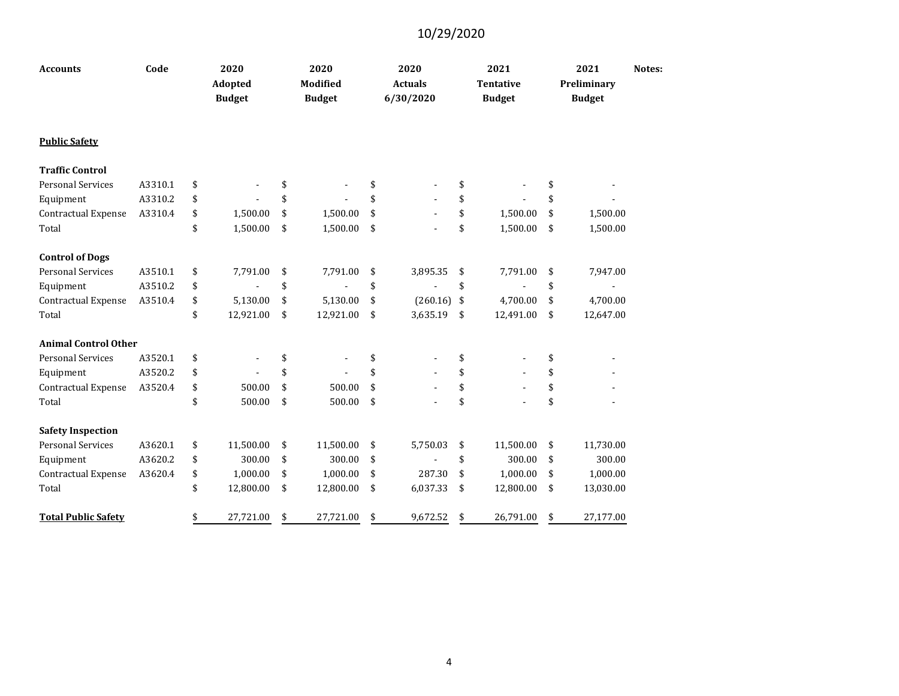| <b>Accounts</b>             | Code    | 2020<br>Adopted<br><b>Budget</b> | 2020<br><b>Modified</b><br><b>Budget</b> | 2020<br><b>Actuals</b><br>6/30/2020 | 2021<br><b>Tentative</b><br><b>Budget</b> | 2021<br>Preliminary<br><b>Budget</b> | Notes: |
|-----------------------------|---------|----------------------------------|------------------------------------------|-------------------------------------|-------------------------------------------|--------------------------------------|--------|
| <b>Public Safety</b>        |         |                                  |                                          |                                     |                                           |                                      |        |
| <b>Traffic Control</b>      |         |                                  |                                          |                                     |                                           |                                      |        |
| <b>Personal Services</b>    | A3310.1 | \$                               | \$                                       | \$                                  | \$                                        | \$                                   |        |
| Equipment                   | A3310.2 | \$                               | \$                                       | \$                                  | \$                                        | \$                                   |        |
| <b>Contractual Expense</b>  | A3310.4 | \$<br>1,500.00                   | \$<br>1,500.00                           | \$                                  | \$<br>1,500.00                            | \$<br>1,500.00                       |        |
| Total                       |         | \$<br>1,500.00                   | \$<br>1,500.00                           | \$                                  | \$<br>1,500.00                            | \$<br>1,500.00                       |        |
| <b>Control of Dogs</b>      |         |                                  |                                          |                                     |                                           |                                      |        |
| <b>Personal Services</b>    | A3510.1 | \$<br>7,791.00                   | \$<br>7,791.00                           | \$<br>3,895.35                      | \$<br>7,791.00                            | \$<br>7,947.00                       |        |
| Equipment                   | A3510.2 | \$                               | \$                                       | \$                                  | \$                                        | \$                                   |        |
| Contractual Expense         | A3510.4 | \$<br>5,130.00                   | \$<br>5,130.00                           | \$<br>$(260.16)$ \$                 | 4,700.00                                  | \$<br>4,700.00                       |        |
| Total                       |         | \$<br>12,921.00                  | \$<br>12,921.00                          | \$<br>3,635.19                      | \$<br>12,491.00                           | \$<br>12,647.00                      |        |
| <b>Animal Control Other</b> |         |                                  |                                          |                                     |                                           |                                      |        |
| <b>Personal Services</b>    | A3520.1 | \$                               | \$                                       | \$                                  | \$                                        | \$                                   |        |
| Equipment                   | A3520.2 | \$                               | \$                                       | \$                                  | \$<br>$\blacksquare$                      | \$                                   |        |
| Contractual Expense         | A3520.4 | \$<br>500.00                     | \$<br>500.00                             | \$                                  | \$                                        | \$                                   |        |
| Total                       |         | \$<br>500.00                     | \$<br>500.00                             | \$                                  | \$                                        | \$                                   |        |
| <b>Safety Inspection</b>    |         |                                  |                                          |                                     |                                           |                                      |        |
| <b>Personal Services</b>    | A3620.1 | \$<br>11,500.00                  | \$<br>11,500.00                          | \$<br>5,750.03                      | \$<br>11,500.00                           | \$<br>11,730.00                      |        |
| Equipment                   | A3620.2 | \$<br>300.00                     | \$<br>300.00                             | \$                                  | \$<br>300.00                              | \$<br>300.00                         |        |
| Contractual Expense         | A3620.4 | \$<br>1,000.00                   | \$<br>1,000.00                           | \$<br>287.30                        | \$<br>1,000.00                            | \$<br>1,000.00                       |        |
| Total                       |         | \$<br>12,800.00                  | \$<br>12,800.00                          | \$<br>6,037.33                      | \$<br>12,800.00                           | \$<br>13,030.00                      |        |
| <b>Total Public Safety</b>  |         | \$<br>27,721.00                  | \$<br>27,721.00                          | \$<br>9,672.52                      | \$<br>26,791.00                           | \$<br>27,177.00                      |        |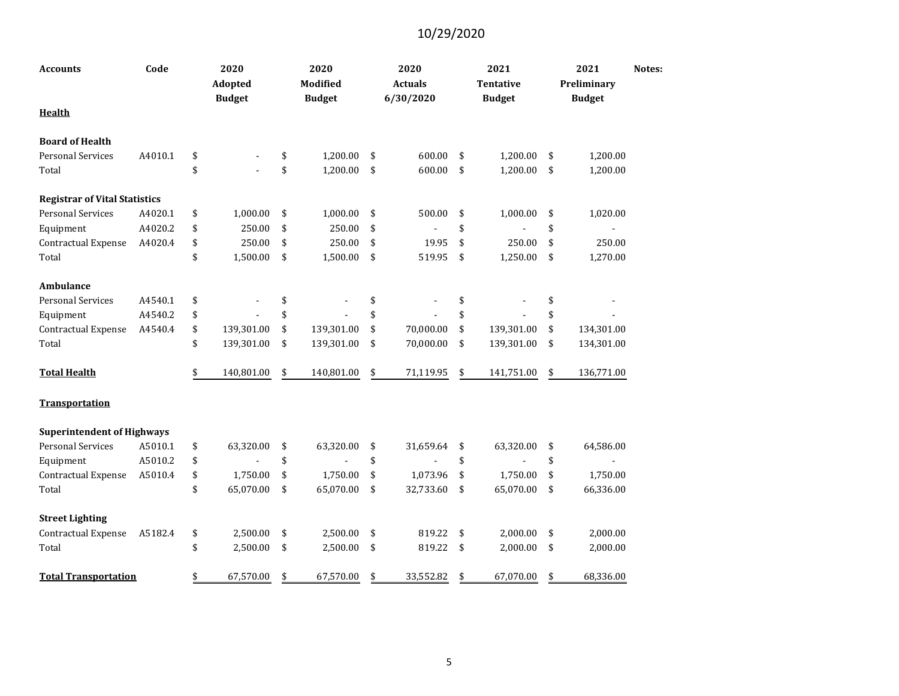| <b>Accounts</b>                      | Code    | 2020<br>Adopted<br><b>Budget</b> | 2020<br>Modified<br><b>Budget</b> | 2020<br><b>Actuals</b><br>6/30/2020 | 2021<br><b>Tentative</b><br><b>Budget</b> | 2021<br>Preliminary<br><b>Budget</b> | Notes: |
|--------------------------------------|---------|----------------------------------|-----------------------------------|-------------------------------------|-------------------------------------------|--------------------------------------|--------|
| <b>Health</b>                        |         |                                  |                                   |                                     |                                           |                                      |        |
| <b>Board of Health</b>               |         |                                  |                                   |                                     |                                           |                                      |        |
| <b>Personal Services</b>             | A4010.1 | \$                               | \$<br>1,200.00                    | \$<br>600.00                        | \$<br>1,200.00                            | \$<br>1,200.00                       |        |
| Total                                |         | \$                               | \$<br>1,200.00                    | \$<br>600.00                        | \$<br>1,200.00                            | \$<br>1,200.00                       |        |
| <b>Registrar of Vital Statistics</b> |         |                                  |                                   |                                     |                                           |                                      |        |
| <b>Personal Services</b>             | A4020.1 | \$<br>1,000.00                   | \$<br>1,000.00                    | \$<br>500.00                        | \$<br>1,000.00                            | \$<br>1,020.00                       |        |
| Equipment                            | A4020.2 | \$<br>250.00                     | \$<br>250.00                      | \$                                  | \$                                        | \$                                   |        |
| Contractual Expense                  | A4020.4 | \$<br>250.00                     | \$<br>250.00                      | \$<br>19.95                         | \$<br>250.00                              | \$<br>250.00                         |        |
| Total                                |         | \$<br>1,500.00                   | \$<br>1,500.00                    | \$<br>519.95                        | \$<br>1,250.00                            | \$<br>1,270.00                       |        |
| Ambulance                            |         |                                  |                                   |                                     |                                           |                                      |        |
| <b>Personal Services</b>             | A4540.1 | \$                               | \$                                | \$                                  | \$                                        | \$                                   |        |
| Equipment                            | A4540.2 | \$                               | \$                                | \$                                  | \$                                        | \$                                   |        |
| Contractual Expense                  | A4540.4 | \$<br>139,301.00                 | \$<br>139,301.00                  | \$<br>70,000.00                     | \$<br>139,301.00                          | \$<br>134,301.00                     |        |
| Total                                |         | \$<br>139,301.00                 | \$<br>139,301.00                  | \$<br>70,000.00                     | \$<br>139,301.00                          | \$<br>134,301.00                     |        |
| <b>Total Health</b>                  |         | \$<br>140,801.00                 | \$<br>140,801.00                  | \$<br>71,119.95                     | \$<br>141,751.00                          | \$<br>136,771.00                     |        |
| <b>Transportation</b>                |         |                                  |                                   |                                     |                                           |                                      |        |
| <b>Superintendent of Highways</b>    |         |                                  |                                   |                                     |                                           |                                      |        |
| <b>Personal Services</b>             | A5010.1 | \$<br>63,320.00                  | \$<br>63,320.00                   | \$<br>31,659.64                     | \$<br>63,320.00                           | \$<br>64,586.00                      |        |
| Equipment                            | A5010.2 | \$                               | \$                                | \$                                  | \$                                        | \$                                   |        |
| Contractual Expense                  | A5010.4 | \$<br>1,750.00                   | \$<br>1,750.00                    | \$<br>1,073.96                      | \$<br>1,750.00                            | \$<br>1,750.00                       |        |
| Total                                |         | \$<br>65,070.00                  | \$<br>65,070.00                   | \$<br>32,733.60                     | \$<br>65,070.00                           | \$<br>66,336.00                      |        |
| <b>Street Lighting</b>               |         |                                  |                                   |                                     |                                           |                                      |        |
| Contractual Expense                  | A5182.4 | \$<br>2,500.00                   | \$<br>2,500.00                    | \$<br>819.22                        | \$<br>2,000.00                            | \$<br>2,000.00                       |        |
| Total                                |         | \$<br>2,500.00                   | \$<br>2,500.00                    | \$<br>819.22                        | \$<br>2,000.00                            | \$<br>2,000.00                       |        |
| <b>Total Transportation</b>          |         | \$<br>67,570.00                  | \$<br>67,570.00                   | \$<br>33,552.82                     | \$<br>67,070.00                           | \$<br>68,336.00                      |        |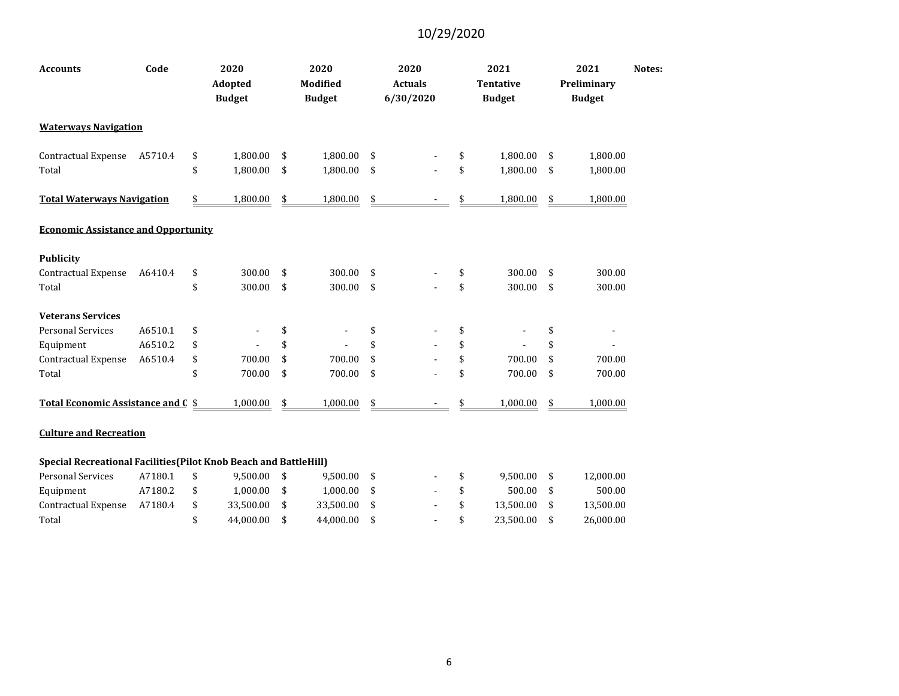| <b>Accounts</b>                                                   | Code    | 2020<br>Adopted<br><b>Budget</b>   | 2020<br><b>Modified</b><br><b>Budget</b> | 2020<br><b>Actuals</b><br>6/30/2020 | 2021<br><b>Tentative</b><br><b>Budget</b> | 2021<br>Preliminary<br><b>Budget</b> | Notes: |
|-------------------------------------------------------------------|---------|------------------------------------|------------------------------------------|-------------------------------------|-------------------------------------------|--------------------------------------|--------|
| <b>Waterways Navigation</b>                                       |         |                                    |                                          |                                     |                                           |                                      |        |
| Contractual Expense                                               | A5710.4 | \$<br>1,800.00                     | \$<br>1,800.00                           | \$                                  | \$<br>1,800.00                            | \$<br>1,800.00                       |        |
| Total                                                             |         | \$<br>1,800.00                     | \$<br>1,800.00                           | \$                                  | \$<br>1,800.00                            | \$<br>1,800.00                       |        |
| <b>Total Waterways Navigation</b>                                 |         | \$<br>1,800.00                     | \$<br>1,800.00                           | \$                                  | 1,800.00                                  | \$<br>1,800.00                       |        |
| <b>Economic Assistance and Opportunity</b>                        |         |                                    |                                          |                                     |                                           |                                      |        |
| <b>Publicity</b>                                                  |         |                                    |                                          |                                     |                                           |                                      |        |
| Contractual Expense                                               | A6410.4 | \$<br>300.00                       | \$<br>300.00                             | \$                                  | \$<br>300.00                              | \$<br>300.00                         |        |
| Total                                                             |         | \$<br>300.00                       | \$<br>300.00                             | \$                                  | \$<br>300.00                              | \$<br>300.00                         |        |
| <b>Veterans Services</b>                                          |         |                                    |                                          |                                     |                                           |                                      |        |
| <b>Personal Services</b>                                          | A6510.1 | \$<br>$\qquad \qquad \blacksquare$ | \$                                       | \$                                  | \$                                        | \$                                   |        |
| Equipment                                                         | A6510.2 | \$                                 | \$                                       | \$                                  | \$                                        | \$                                   |        |
| Contractual Expense                                               | A6510.4 | \$<br>700.00                       | \$<br>700.00                             | \$                                  | \$<br>700.00                              | \$<br>700.00                         |        |
| Total                                                             |         | \$<br>700.00                       | \$<br>700.00                             | \$                                  | \$<br>700.00                              | \$<br>700.00                         |        |
| Total Economic Assistance and C \$                                |         | 1,000.00                           | \$<br>1,000.00                           | \$                                  | 1,000.00                                  | \$<br>1,000.00                       |        |
| <b>Culture and Recreation</b>                                     |         |                                    |                                          |                                     |                                           |                                      |        |
| Special Recreational Facilities (Pilot Knob Beach and BattleHill) |         |                                    |                                          |                                     |                                           |                                      |        |
| <b>Personal Services</b>                                          | A7180.1 | \$<br>9,500.00                     | \$<br>9,500.00                           | \$                                  | \$<br>9,500.00                            | \$<br>12,000.00                      |        |
| Equipment                                                         | A7180.2 | \$<br>1,000.00                     | \$<br>1,000.00                           | \$                                  | \$<br>500.00                              | \$<br>500.00                         |        |
| Contractual Expense                                               | A7180.4 | \$<br>33,500.00                    | \$<br>33,500.00                          | \$                                  | \$<br>13,500.00                           | \$<br>13,500.00                      |        |
| Total                                                             |         | \$<br>44,000.00                    | \$<br>44,000.00                          | \$                                  | \$<br>23,500.00                           | \$<br>26,000.00                      |        |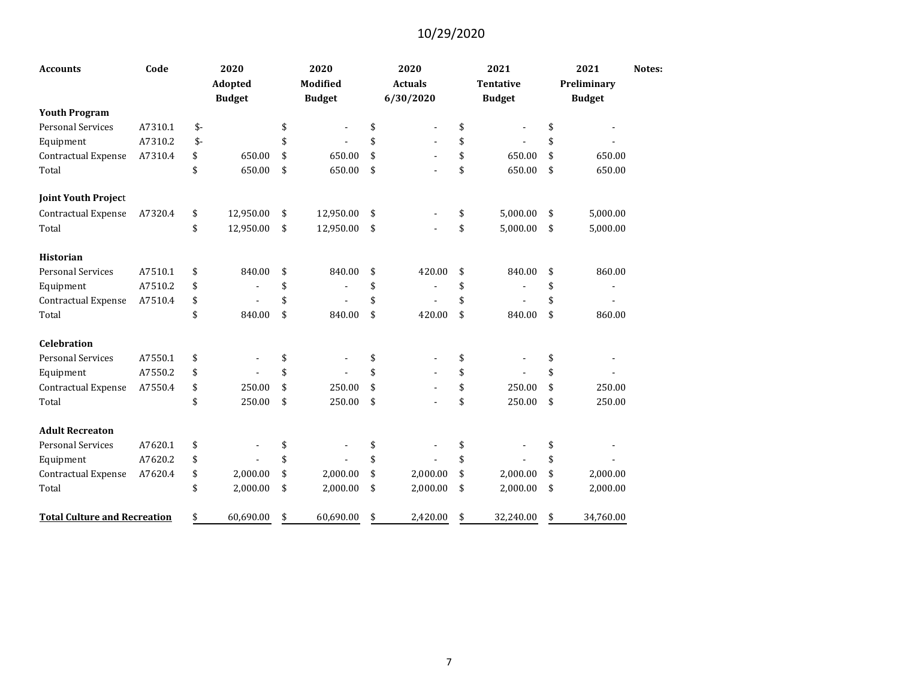| <b>Accounts</b>                     | Code    |               | 2020<br>Adopted<br><b>Budget</b> | 2020<br><b>Modified</b><br><b>Budget</b> | 2020<br><b>Actuals</b><br>6/30/2020 | 2021<br><b>Tentative</b><br><b>Budget</b> | 2021<br>Preliminary<br><b>Budget</b> | Notes: |
|-------------------------------------|---------|---------------|----------------------------------|------------------------------------------|-------------------------------------|-------------------------------------------|--------------------------------------|--------|
| <b>Youth Program</b>                |         |               |                                  |                                          |                                     |                                           |                                      |        |
| <b>Personal Services</b>            | A7310.1 | $$-$          |                                  | \$                                       | \$<br>$\overline{\phantom{a}}$      | \$<br>$\blacksquare$                      | \$                                   |        |
| Equipment                           | A7310.2 | $\mathsf{\$}$ |                                  | \$                                       | \$                                  | \$                                        | \$                                   |        |
| Contractual Expense                 | A7310.4 | \$            | 650.00                           | \$<br>650.00                             | \$                                  | \$<br>650.00                              | \$<br>650.00                         |        |
| Total                               |         | \$            | 650.00                           | \$<br>650.00                             | \$                                  | \$<br>650.00                              | \$<br>650.00                         |        |
| <b>Joint Youth Project</b>          |         |               |                                  |                                          |                                     |                                           |                                      |        |
| Contractual Expense                 | A7320.4 | \$            | 12,950.00                        | \$<br>12,950.00                          | \$                                  | \$<br>5,000.00                            | \$<br>5,000.00                       |        |
| Total                               |         | \$            | 12,950.00                        | \$<br>12,950.00                          | \$                                  | \$<br>5,000.00                            | \$<br>5,000.00                       |        |
| <b>Historian</b>                    |         |               |                                  |                                          |                                     |                                           |                                      |        |
| <b>Personal Services</b>            | A7510.1 | \$            | 840.00                           | \$<br>840.00                             | \$<br>420.00                        | \$<br>840.00                              | \$<br>860.00                         |        |
| Equipment                           | A7510.2 | \$            |                                  | \$                                       | \$                                  | \$                                        | \$                                   |        |
| Contractual Expense                 | A7510.4 | \$            |                                  | \$                                       | \$                                  | \$                                        | \$                                   |        |
| Total                               |         | \$            | 840.00                           | \$<br>840.00                             | \$<br>420.00                        | \$<br>840.00                              | \$<br>860.00                         |        |
| <b>Celebration</b>                  |         |               |                                  |                                          |                                     |                                           |                                      |        |
| <b>Personal Services</b>            | A7550.1 | \$            | $\overline{a}$                   | \$                                       | \$                                  | \$                                        | \$                                   |        |
| Equipment                           | A7550.2 | \$            |                                  | \$                                       | \$                                  | \$                                        | \$                                   |        |
| Contractual Expense                 | A7550.4 | \$            | 250.00                           | \$<br>250.00                             | \$                                  | \$<br>250.00                              | \$<br>250.00                         |        |
| Total                               |         | \$            | 250.00                           | \$<br>250.00                             | \$                                  | \$<br>250.00                              | \$<br>250.00                         |        |
| <b>Adult Recreaton</b>              |         |               |                                  |                                          |                                     |                                           |                                      |        |
| <b>Personal Services</b>            | A7620.1 | \$            |                                  | \$                                       | \$                                  | \$                                        | \$                                   |        |
| Equipment                           | A7620.2 | \$            |                                  | \$                                       | \$                                  | \$                                        | \$                                   |        |
| Contractual Expense                 | A7620.4 | \$            | 2,000.00                         | \$<br>2,000.00                           | \$<br>2,000.00                      | \$<br>2,000.00                            | \$<br>2,000.00                       |        |
| Total                               |         | \$            | 2,000.00                         | \$<br>2,000.00                           | \$<br>2,000.00                      | \$<br>2,000.00                            | \$<br>2,000.00                       |        |
| <b>Total Culture and Recreation</b> |         | \$            | 60,690.00                        | \$<br>60,690.00                          | \$<br>2,420.00                      | \$<br>32,240.00                           | \$<br>34,760.00                      |        |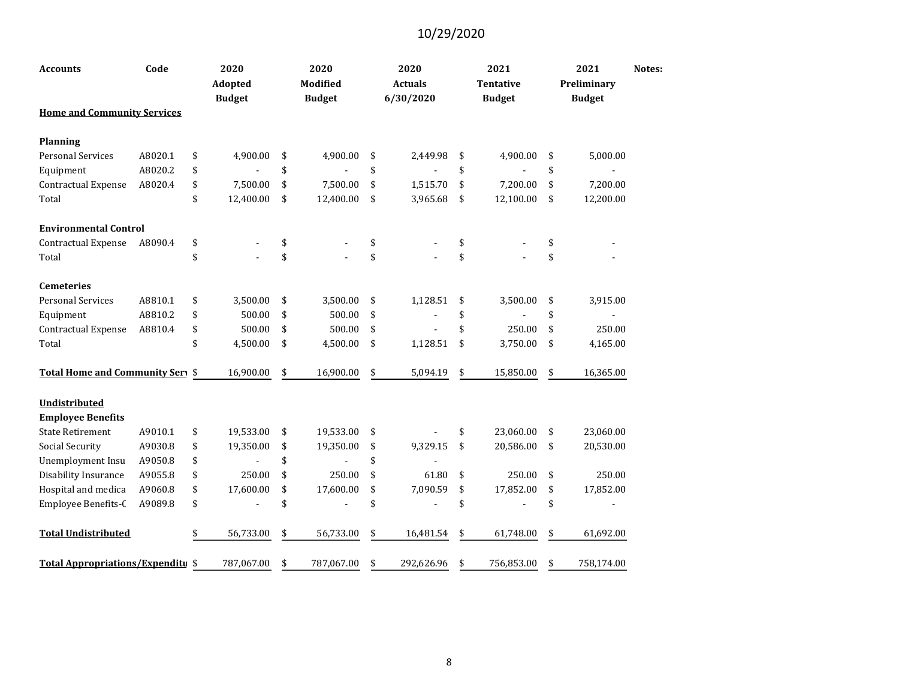| <b>Accounts</b>                    | Code    | 2020<br>Adopted<br><b>Budget</b> | 2020<br>Modified<br><b>Budget</b> | 2020<br><b>Actuals</b><br>6/30/2020 | 2021<br><b>Tentative</b><br><b>Budget</b> | 2021<br>Preliminary<br><b>Budget</b> | Notes: |
|------------------------------------|---------|----------------------------------|-----------------------------------|-------------------------------------|-------------------------------------------|--------------------------------------|--------|
| <b>Home and Community Services</b> |         |                                  |                                   |                                     |                                           |                                      |        |
| <b>Planning</b>                    |         |                                  |                                   |                                     |                                           |                                      |        |
| <b>Personal Services</b>           | A8020.1 | \$<br>4,900.00                   | \$<br>4,900.00                    | \$<br>2,449.98                      | \$<br>4,900.00                            | \$<br>5,000.00                       |        |
| Equipment                          | A8020.2 | \$                               | \$                                | \$                                  | \$                                        | \$                                   |        |
| Contractual Expense                | A8020.4 | \$<br>7,500.00                   | \$<br>7,500.00                    | \$<br>1,515.70                      | \$<br>7,200.00                            | \$<br>7,200.00                       |        |
| Total                              |         | \$<br>12,400.00                  | \$<br>12,400.00                   | \$<br>3,965.68                      | \$<br>12,100.00                           | \$<br>12,200.00                      |        |
| <b>Environmental Control</b>       |         |                                  |                                   |                                     |                                           |                                      |        |
| Contractual Expense                | A8090.4 | \$                               | \$                                | \$                                  | \$                                        | \$                                   |        |
| Total                              |         | \$                               | \$                                | \$                                  | \$                                        | \$                                   |        |
| <b>Cemeteries</b>                  |         |                                  |                                   |                                     |                                           |                                      |        |
| <b>Personal Services</b>           | A8810.1 | \$<br>3,500.00                   | \$<br>3,500.00                    | \$<br>1,128.51                      | \$<br>3,500.00                            | \$<br>3,915.00                       |        |
| Equipment                          | A8810.2 | \$<br>500.00                     | \$<br>500.00                      | \$                                  | \$                                        | \$                                   |        |
| <b>Contractual Expense</b>         | A8810.4 | \$<br>500.00                     | \$<br>500.00                      | \$                                  | \$<br>250.00                              | \$<br>250.00                         |        |
| Total                              |         | \$<br>4,500.00                   | \$<br>4,500.00                    | \$<br>1,128.51                      | \$<br>3,750.00                            | \$<br>4,165.00                       |        |
| Total Home and Community Sery \$   |         | 16,900.00                        | \$<br>16,900.00                   | \$<br>5,094.19                      | \$<br>15,850.00                           | \$<br>16,365.00                      |        |
| Undistributed                      |         |                                  |                                   |                                     |                                           |                                      |        |
| <b>Employee Benefits</b>           |         |                                  |                                   |                                     |                                           |                                      |        |
| <b>State Retirement</b>            | A9010.1 | \$<br>19,533.00                  | \$<br>19,533.00                   | \$                                  | \$<br>23,060.00                           | \$<br>23,060.00                      |        |
| Social Security                    | A9030.8 | \$<br>19,350.00                  | \$<br>19,350.00                   | \$<br>9,329.15                      | \$<br>20,586.00                           | \$<br>20,530.00                      |        |
| Unemployment Insu                  | A9050.8 | \$                               | \$                                | \$                                  |                                           |                                      |        |
| Disability Insurance               | A9055.8 | \$<br>250.00                     | \$<br>250.00                      | \$<br>61.80                         | \$<br>250.00                              | \$<br>250.00                         |        |
| Hospital and medica                | A9060.8 | \$<br>17,600.00                  | \$<br>17,600.00                   | \$<br>7,090.59                      | \$<br>17,852.00                           | \$<br>17,852.00                      |        |
| Employee Benefits-C                | A9089.8 | \$                               | \$                                | \$                                  | \$                                        | \$                                   |        |
| <b>Total Undistributed</b>         |         | 56,733.00                        | \$<br>56,733.00                   | \$<br>16,481.54                     | \$<br>61,748.00                           | \$<br>61,692.00                      |        |
| Total Appropriations/Expenditu \$  |         | 787,067.00                       | \$<br>787,067.00                  | \$<br>292,626.96                    | \$<br>756,853.00                          | \$<br>758,174.00                     |        |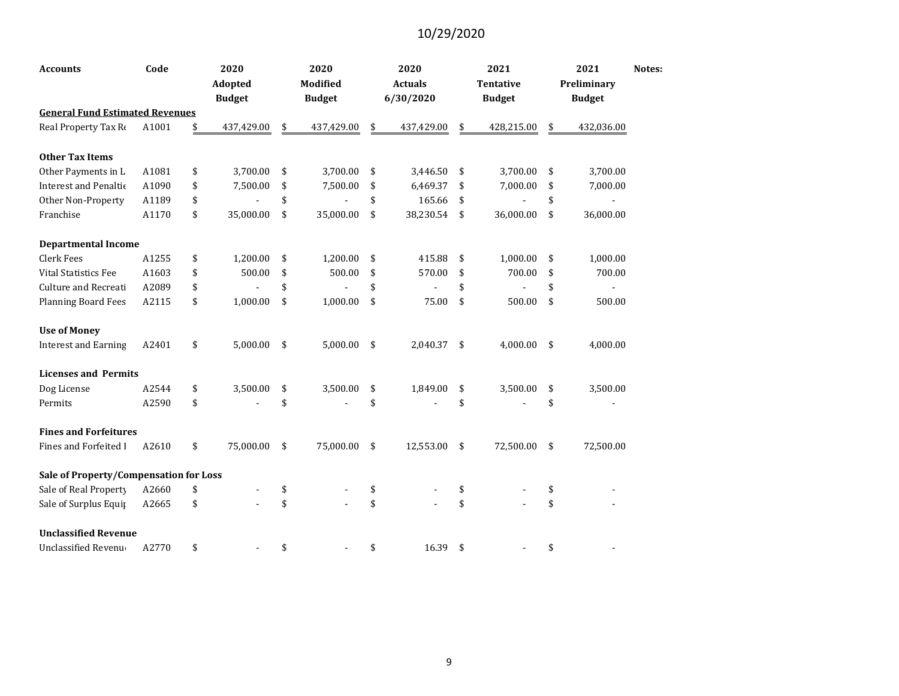| <b>Accounts</b>                        | Code  | 2020<br>Adopted<br><b>Budget</b> | 2020<br><b>Modified</b><br><b>Budget</b> | 2020<br><b>Actuals</b><br>6/30/2020 | 2021<br><b>Tentative</b><br><b>Budget</b> | 2021<br>Preliminary<br><b>Budget</b> | Notes: |
|----------------------------------------|-------|----------------------------------|------------------------------------------|-------------------------------------|-------------------------------------------|--------------------------------------|--------|
| <b>General Fund Estimated Revenues</b> |       |                                  |                                          |                                     |                                           |                                      |        |
| Real Property Tax Re                   | A1001 | \$<br>437,429.00                 | \$<br>437,429.00                         | \$<br>437,429.00                    | \$<br>428,215.00                          | \$<br>432,036.00                     |        |
| <b>Other Tax Items</b>                 |       |                                  |                                          |                                     |                                           |                                      |        |
| Other Payments in L                    | A1081 | \$<br>3,700.00                   | \$<br>3,700.00                           | \$<br>3,446.50                      | \$<br>3,700.00                            | \$<br>3,700.00                       |        |
| Interest and Penaltic                  | A1090 | \$<br>7,500.00                   | \$<br>7,500.00                           | \$<br>6,469.37                      | \$<br>7,000.00                            | \$<br>7,000.00                       |        |
| Other Non-Property                     | A1189 | \$                               | \$                                       | \$<br>165.66                        | \$                                        | \$<br>$\blacksquare$                 |        |
| Franchise                              | A1170 | \$<br>35,000.00                  | \$<br>35,000.00                          | \$<br>38,230.54                     | \$<br>36,000.00                           | \$<br>36,000.00                      |        |
| <b>Departmental Income</b>             |       |                                  |                                          |                                     |                                           |                                      |        |
| <b>Clerk Fees</b>                      | A1255 | \$<br>1,200.00                   | \$<br>1,200.00                           | \$<br>415.88                        | \$<br>1,000.00                            | \$<br>1,000.00                       |        |
| <b>Vital Statistics Fee</b>            | A1603 | \$<br>500.00                     | \$<br>500.00                             | \$<br>570.00                        | \$<br>700.00                              | \$<br>700.00                         |        |
| Culture and Recreati                   | A2089 | \$                               | \$                                       | \$                                  | \$                                        | \$                                   |        |
| <b>Planning Board Fees</b>             | A2115 | \$<br>1,000.00                   | \$<br>1,000.00                           | \$<br>75.00                         | \$<br>500.00                              | \$<br>500.00                         |        |
| <b>Use of Money</b>                    |       |                                  |                                          |                                     |                                           |                                      |        |
| <b>Interest and Earning</b>            | A2401 | \$<br>5,000.00                   | \$<br>5,000.00                           | \$<br>2,040.37                      | \$<br>4,000.00                            | \$<br>4,000.00                       |        |
| <b>Licenses and Permits</b>            |       |                                  |                                          |                                     |                                           |                                      |        |
| Dog License                            | A2544 | \$<br>3,500.00                   | \$<br>3,500.00                           | \$<br>1,849.00                      | \$<br>3,500.00                            | \$<br>3,500.00                       |        |
| Permits                                | A2590 | \$                               | \$                                       | \$                                  | \$                                        | \$                                   |        |
| <b>Fines and Forfeitures</b>           |       |                                  |                                          |                                     |                                           |                                      |        |
| Fines and Forfeited I                  | A2610 | \$<br>75,000.00                  | \$<br>75,000.00                          | \$<br>12,553.00                     | \$<br>72,500.00                           | \$<br>72,500.00                      |        |
| Sale of Property/Compensation for Loss |       |                                  |                                          |                                     |                                           |                                      |        |
| Sale of Real Property                  | A2660 | \$                               | \$                                       | \$                                  | \$                                        | \$                                   |        |
| Sale of Surplus Equip                  | A2665 | \$                               | \$                                       | \$                                  | \$                                        | \$                                   |        |
| <b>Unclassified Revenue</b>            |       |                                  |                                          |                                     |                                           |                                      |        |
| <b>Unclassified Revenue</b>            | A2770 | \$                               | \$                                       | \$<br>16.39                         | \$                                        | \$                                   |        |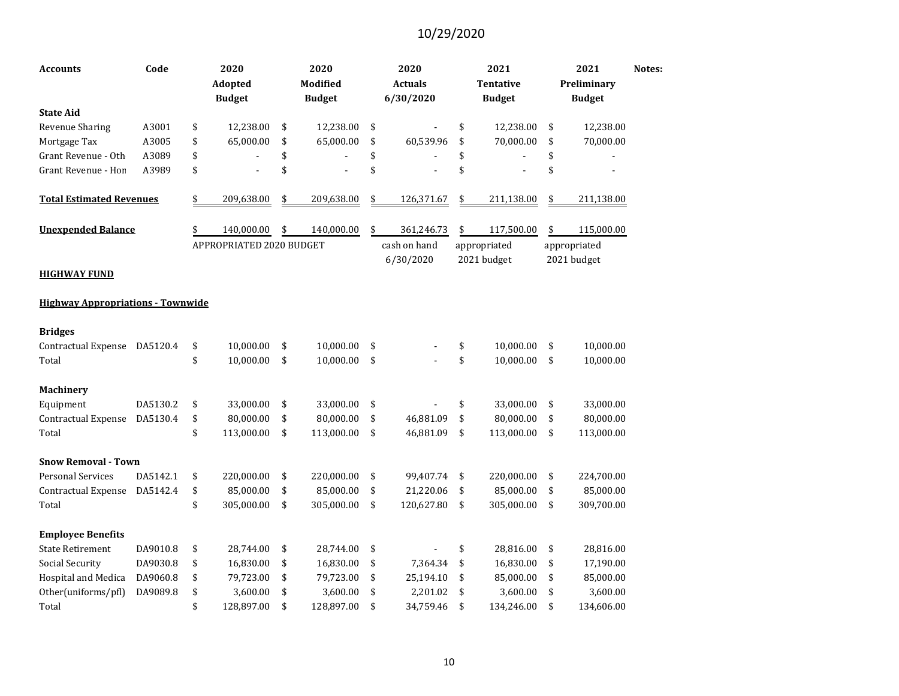| Accounts                                 | Code     | 2020<br>Adopted<br><b>Budget</b> | 2020<br><b>Modified</b><br><b>Budget</b> |               | 2020<br><b>Actuals</b><br>6/30/2020 | 2021<br><b>Tentative</b><br><b>Budget</b> | 2021<br>Preliminary<br><b>Budget</b> | Notes: |
|------------------------------------------|----------|----------------------------------|------------------------------------------|---------------|-------------------------------------|-------------------------------------------|--------------------------------------|--------|
| <b>State Aid</b>                         |          |                                  |                                          |               |                                     |                                           |                                      |        |
| <b>Revenue Sharing</b>                   | A3001    | \$<br>12,238.00                  | \$<br>12,238.00                          | \$            |                                     | \$<br>12,238.00                           | \$<br>12,238.00                      |        |
| Mortgage Tax                             | A3005    | \$<br>65,000.00                  | \$<br>65,000.00                          | \$            | 60,539.96                           | \$<br>70,000.00                           | \$<br>70,000.00                      |        |
| Grant Revenue - Oth                      | A3089    | \$                               | \$                                       | \$            |                                     | \$                                        | \$                                   |        |
| Grant Revenue - Hon                      | A3989    | \$                               | \$                                       | \$            |                                     | \$                                        | \$                                   |        |
| <b>Total Estimated Revenues</b>          |          | \$<br>209,638.00                 | \$<br>209,638.00                         | $\frac{1}{2}$ | 126,371.67                          | \$<br>211,138.00                          | \$<br>211,138.00                     |        |
| <b>Unexpended Balance</b>                |          | \$<br>140,000.00                 | \$<br>140,000.00                         | \$            | 361,246.73                          | \$<br>117,500.00                          | \$<br>115,000.00                     |        |
| HIGHWAY FUND                             |          | APPROPRIATED 2020 BUDGET         |                                          |               | cash on hand<br>6/30/2020           | appropriated<br>2021 budget               | appropriated<br>2021 budget          |        |
| <b>Highway Appropriations - Townwide</b> |          |                                  |                                          |               |                                     |                                           |                                      |        |
| <b>Bridges</b>                           |          |                                  |                                          |               |                                     |                                           |                                      |        |
| Contractual Expense                      | DA5120.4 | \$<br>10,000.00                  | \$<br>10,000.00                          | \$            |                                     | \$<br>10,000.00                           | \$<br>10,000.00                      |        |
| Total                                    |          | \$<br>10,000.00                  | \$<br>10,000.00                          | \$            |                                     | \$<br>10,000.00                           | \$<br>10,000.00                      |        |
| <b>Machinery</b>                         |          |                                  |                                          |               |                                     |                                           |                                      |        |
| Equipment                                | DA5130.2 | \$<br>33,000.00                  | \$<br>33,000.00                          | \$            |                                     | \$<br>33,000.00                           | \$<br>33,000.00                      |        |
| Contractual Expense                      | DA5130.4 | \$<br>80,000.00                  | \$<br>80,000.00                          | \$            | 46,881.09                           | \$<br>80,000.00                           | \$<br>80,000.00                      |        |
| Total                                    |          | \$<br>113,000.00                 | \$<br>113,000.00                         | \$            | 46,881.09                           | \$<br>113,000.00                          | \$<br>113,000.00                     |        |
| <b>Snow Removal - Town</b>               |          |                                  |                                          |               |                                     |                                           |                                      |        |
| Personal Services                        | DA5142.1 | \$<br>220,000.00                 | \$<br>220,000.00                         | \$            | 99,407.74                           | \$<br>220,000.00                          | \$<br>224,700.00                     |        |
| Contractual Expense                      | DA5142.4 | \$<br>85,000.00                  | \$<br>85,000.00                          | \$            | 21,220.06                           | \$<br>85,000.00                           | \$<br>85,000.00                      |        |
| Total                                    |          | \$<br>305,000.00                 | \$<br>305,000.00                         | \$            | 120,627.80                          | \$<br>305,000.00                          | \$<br>309,700.00                     |        |
| <b>Employee Benefits</b>                 |          |                                  |                                          |               |                                     |                                           |                                      |        |
| <b>State Retirement</b>                  | DA9010.8 | \$<br>28,744.00                  | \$<br>28,744.00                          | \$            |                                     | \$<br>28,816.00                           | \$<br>28,816.00                      |        |
| Social Security                          | DA9030.8 | \$<br>16,830.00                  | \$<br>16,830.00                          | \$            | 7,364.34                            | \$<br>16,830.00                           | \$<br>17,190.00                      |        |
| Hospital and Medica                      | DA9060.8 | \$<br>79,723.00                  | \$<br>79,723.00                          | \$            | 25,194.10                           | \$<br>85,000.00                           | \$<br>85,000.00                      |        |
| Other(uniforms/pfl)                      | DA9089.8 | \$<br>3,600.00                   | \$<br>3,600.00                           | \$            | 2,201.02                            | \$<br>3,600.00                            | \$<br>3,600.00                       |        |
| Total                                    |          | \$<br>128,897.00                 | \$<br>128,897.00                         | \$            | 34,759.46                           | \$<br>134,246.00                          | \$<br>134,606.00                     |        |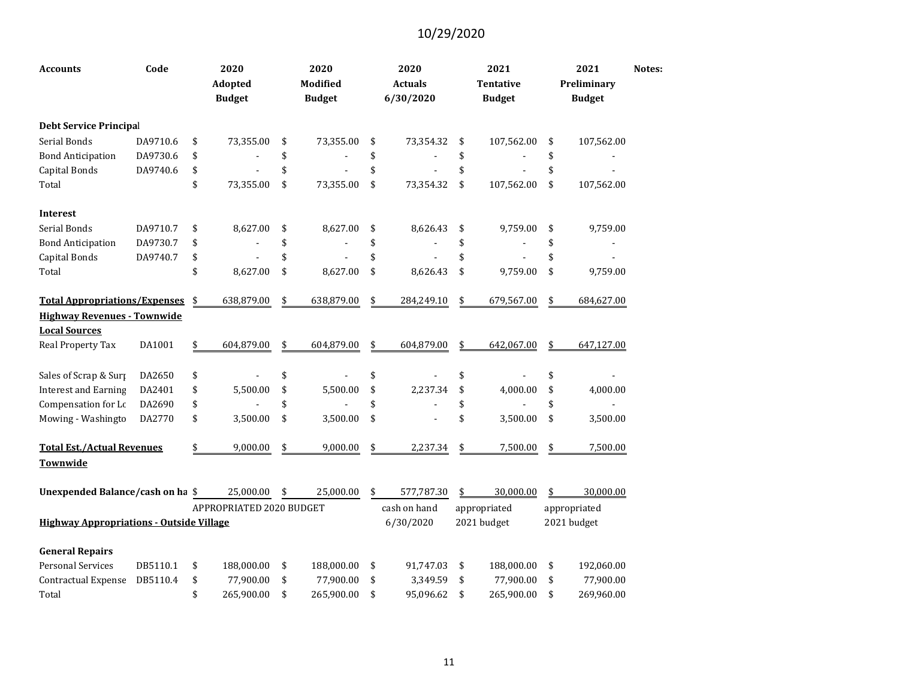| <b>Accounts</b>                                 | Code     | 2020<br>Adopted<br><b>Budget</b> | 2020<br>Modified<br><b>Budget</b> | 2020<br><b>Actuals</b><br>6/30/2020 | 2021<br>Tentative<br><b>Budget</b> | 2021<br>Preliminary<br><b>Budget</b> | Notes: |
|-------------------------------------------------|----------|----------------------------------|-----------------------------------|-------------------------------------|------------------------------------|--------------------------------------|--------|
| <b>Debt Service Principal</b>                   |          |                                  |                                   |                                     |                                    |                                      |        |
| Serial Bonds                                    | DA9710.6 | \$<br>73,355.00                  | \$<br>73,355.00                   | \$<br>73,354.32                     | \$<br>107,562.00                   | \$<br>107,562.00                     |        |
| <b>Bond Anticipation</b>                        | DA9730.6 | \$                               | \$                                | \$                                  | \$                                 | \$                                   |        |
| Capital Bonds                                   | DA9740.6 | \$                               | \$                                | \$                                  | \$                                 | \$                                   |        |
| Total                                           |          | \$<br>73,355.00                  | \$<br>73,355.00                   | \$<br>73,354.32                     | \$<br>107,562.00                   | \$<br>107,562.00                     |        |
| <b>Interest</b>                                 |          |                                  |                                   |                                     |                                    |                                      |        |
| Serial Bonds                                    | DA9710.7 | \$<br>8,627.00                   | \$<br>8,627.00                    | \$<br>8,626.43                      | \$<br>9,759.00                     | \$<br>9,759.00                       |        |
| <b>Bond Anticipation</b>                        | DA9730.7 | \$                               | \$                                | \$                                  | \$                                 | \$                                   |        |
| Capital Bonds                                   | DA9740.7 | \$                               | \$                                | \$                                  | \$                                 | \$                                   |        |
| Total                                           |          | \$<br>8,627.00                   | \$<br>8,627.00                    | \$<br>8,626.43                      | \$<br>9,759.00                     | \$<br>9,759.00                       |        |
| <b>Total Appropriations/Expenses</b>            |          | \$<br>638,879.00                 | \$<br>638,879.00                  | \$<br>284,249.10                    | \$<br>679,567.00                   | \$<br>684,627.00                     |        |
| <b>Highway Revenues - Townwide</b>              |          |                                  |                                   |                                     |                                    |                                      |        |
| <b>Local Sources</b>                            |          |                                  |                                   |                                     |                                    |                                      |        |
| Real Property Tax                               | DA1001   | \$<br>604,879.00                 | \$<br>604,879.00                  | \$<br>604,879.00                    | \$<br>642,067.00                   | \$<br>647,127.00                     |        |
| Sales of Scrap & Surp                           | DA2650   | \$                               | \$                                | \$                                  | \$                                 | \$                                   |        |
| <b>Interest and Earning</b>                     | DA2401   | \$<br>5,500.00                   | \$<br>5,500.00                    | \$<br>2,237.34                      | \$<br>4,000.00                     | \$<br>4,000.00                       |        |
| Compensation for Lc                             | DA2690   | \$                               | \$                                | \$                                  | \$                                 | \$                                   |        |
| Mowing - Washingto                              | DA2770   | \$<br>3,500.00                   | \$<br>3,500.00                    | \$                                  | \$<br>3,500.00                     | \$<br>3,500.00                       |        |
| <b>Total Est./Actual Revenues</b>               |          | \$<br>9,000.00                   | \$<br>9,000.00                    | \$<br>2,237.34                      | \$<br>7,500.00                     | \$<br>7,500.00                       |        |
| Townwide                                        |          |                                  |                                   |                                     |                                    |                                      |        |
| Unexpended Balance/cash on ha \$                |          | 25,000.00                        | \$<br>25,000.00                   | \$<br>577,787.30                    | \$<br>30,000.00                    | \$<br>30,000.00                      |        |
|                                                 |          | APPROPRIATED 2020 BUDGET         |                                   | cash on hand                        | appropriated                       | appropriated                         |        |
| <b>Highway Appropriations - Outside Village</b> |          |                                  |                                   | 6/30/2020                           | 2021 budget                        | 2021 budget                          |        |
| <b>General Repairs</b>                          |          |                                  |                                   |                                     |                                    |                                      |        |
| <b>Personal Services</b>                        | DB5110.1 | \$<br>188,000.00                 | \$<br>188,000.00                  | \$<br>91,747.03                     | \$<br>188,000.00                   | \$<br>192,060.00                     |        |
| <b>Contractual Expense</b>                      | DB5110.4 | \$<br>77,900.00                  | \$<br>77,900.00                   | \$<br>3,349.59                      | \$<br>77,900.00                    | \$<br>77,900.00                      |        |
| Total                                           |          | \$<br>265,900.00                 | \$<br>265,900.00                  | \$<br>95,096.62                     | \$<br>265,900.00                   | \$<br>269,960.00                     |        |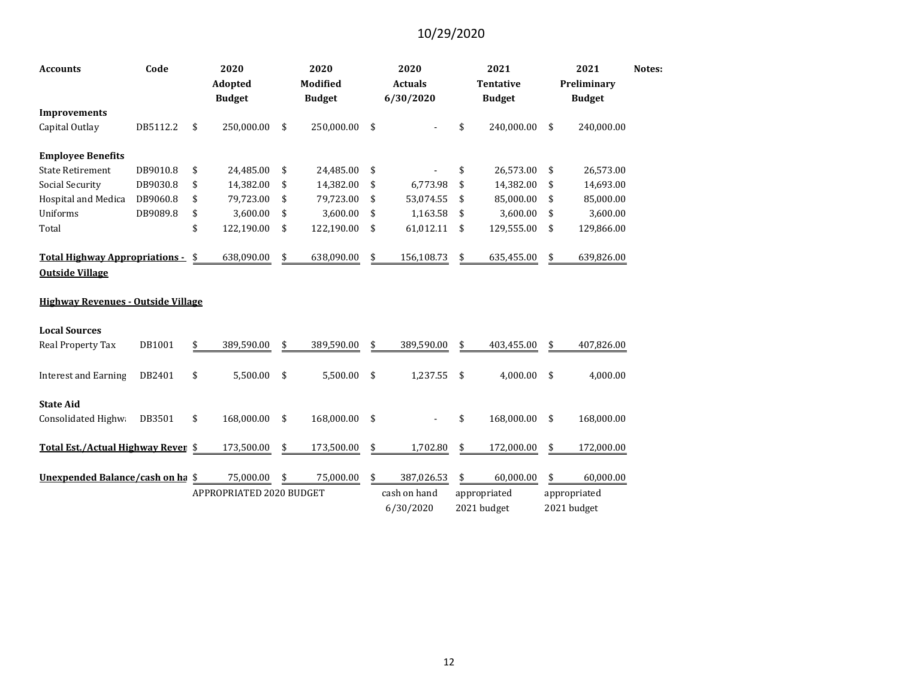| <b>Accounts</b>                                                 | Code     | 2020<br>Adopted<br><b>Budget</b> | 2020<br><b>Modified</b><br><b>Budget</b> | 2020<br><b>Actuals</b><br>6/30/2020 | 2021<br><b>Tentative</b><br><b>Budget</b> | 2021<br>Preliminary<br><b>Budget</b> | Notes: |
|-----------------------------------------------------------------|----------|----------------------------------|------------------------------------------|-------------------------------------|-------------------------------------------|--------------------------------------|--------|
| <b>Improvements</b>                                             |          |                                  |                                          |                                     |                                           |                                      |        |
| Capital Outlay                                                  | DB5112.2 | \$<br>250,000.00                 | \$<br>250,000.00                         | \$                                  | \$<br>240,000.00                          | \$<br>240,000.00                     |        |
| <b>Employee Benefits</b>                                        |          |                                  |                                          |                                     |                                           |                                      |        |
| <b>State Retirement</b>                                         | DB9010.8 | \$<br>24,485.00                  | \$<br>24,485.00                          | \$                                  | \$<br>26,573.00                           | \$<br>26,573.00                      |        |
| Social Security                                                 | DB9030.8 | \$<br>14,382.00                  | \$<br>14,382.00                          | \$<br>6,773.98                      | \$<br>14,382.00                           | \$<br>14,693.00                      |        |
| Hospital and Medica                                             | DB9060.8 | \$<br>79,723.00                  | \$<br>79,723.00                          | \$<br>53,074.55                     | \$<br>85,000.00                           | \$<br>85,000.00                      |        |
| Uniforms                                                        | DB9089.8 | \$<br>3,600.00                   | \$<br>3,600.00                           | \$<br>1,163.58                      | \$<br>3,600.00                            | \$<br>3,600.00                       |        |
| Total                                                           |          | \$<br>122,190.00                 | \$<br>122,190.00                         | \$<br>61,012.11                     | \$<br>129,555.00                          | \$<br>129,866.00                     |        |
| <b>Total Highway Appropriations -</b><br><b>Outside Village</b> |          | \$<br>638,090.00                 | \$<br>638,090.00                         | \$<br>156,108.73                    | \$<br>635,455.00                          | \$<br>639,826.00                     |        |
| <b>Highway Revenues - Outside Village</b>                       |          |                                  |                                          |                                     |                                           |                                      |        |
| <b>Local Sources</b>                                            |          |                                  |                                          |                                     |                                           |                                      |        |
| Real Property Tax                                               | DB1001   | \$<br>389,590.00                 | \$<br>389,590.00                         | \$<br>389,590.00                    | \$<br>403,455.00                          | \$<br>407,826.00                     |        |
| <b>Interest and Earning</b>                                     | DB2401   | \$<br>5,500.00                   | \$<br>5,500.00                           | \$<br>1,237.55                      | \$<br>4,000.00                            | \$<br>4,000.00                       |        |
| <b>State Aid</b>                                                |          |                                  |                                          |                                     |                                           |                                      |        |
| Consolidated Highwa                                             | DB3501   | \$<br>168,000.00                 | \$<br>168,000.00                         | \$                                  | \$<br>168,000.00                          | \$<br>168,000.00                     |        |
| Total Est./Actual Highway Reven \$                              |          | 173,500.00                       | \$<br>173,500.00                         | \$<br>1,702.80                      | \$<br>172,000.00                          | \$<br>172,000.00                     |        |
| Unexpended Balance/cash on ha                                   |          | \$<br>75,000.00                  | \$<br>75,000.00                          | \$<br>387,026.53                    | \$<br>60,000.00                           | \$<br>60,000.00                      |        |
|                                                                 |          | APPROPRIATED 2020 BUDGET         |                                          | cash on hand                        | appropriated                              | appropriated                         |        |
|                                                                 |          |                                  |                                          | 6/30/2020                           | 2021 budget                               | 2021 budget                          |        |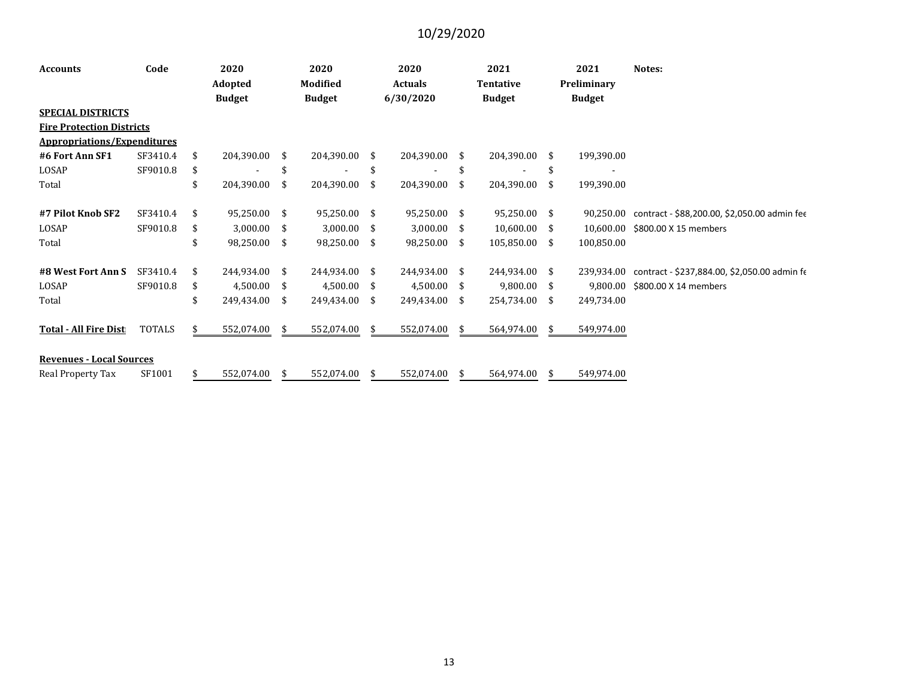| <b>Accounts</b>                    | Code          | 2020<br>Adopted     |      | 2020<br><b>Modified</b> |               | 2020<br><b>Actuals</b> |     | 2021<br><b>Tentative</b> |      | 2021<br>Preliminary | Notes:                                                  |
|------------------------------------|---------------|---------------------|------|-------------------------|---------------|------------------------|-----|--------------------------|------|---------------------|---------------------------------------------------------|
|                                    |               | <b>Budget</b>       |      | <b>Budget</b>           |               | 6/30/2020              |     | <b>Budget</b>            |      | <b>Budget</b>       |                                                         |
| <b>SPECIAL DISTRICTS</b>           |               |                     |      |                         |               |                        |     |                          |      |                     |                                                         |
| <b>Fire Protection Districts</b>   |               |                     |      |                         |               |                        |     |                          |      |                     |                                                         |
| <b>Appropriations/Expenditures</b> |               |                     |      |                         |               |                        |     |                          |      |                     |                                                         |
| #6 Fort Ann SF1                    | SF3410.4      | \$<br>204,390.00 \$ |      | 204,390.00 \$           |               | 204,390.00             | \$. | 204,390.00               | - \$ | 199,390.00          |                                                         |
| LOSAP                              | SF9010.8      | \$                  |      |                         | <sup>\$</sup> |                        | \$  |                          | \$   |                     |                                                         |
| Total                              |               | \$<br>204,390.00    | \$   | 204,390.00              | -S            | 204,390.00             | \$  | 204,390.00               | -\$  | 199,390.00          |                                                         |
| #7 Pilot Knob SF2                  | SF3410.4      | \$<br>95,250.00 \$  |      | 95,250.00 \$            |               | 95,250.00              | \$. | 95,250.00                | - \$ |                     | 90,250.00 contract - \$88,200.00, \$2,050.00 admin fee  |
| LOSAP                              | SF9010.8      | \$<br>$3,000.00$ \$ |      | $3,000.00$ \$           |               | 3,000.00               | \$  | 10,600.00                | - \$ |                     | 10,600.00 \$800.00 X 15 members                         |
| Total                              |               | \$<br>98,250.00     | -\$  | 98,250.00               | \$            | 98,250.00              | \$  | 105,850.00               | -\$  | 100,850.00          |                                                         |
| #8 West Fort Ann S                 | SF3410.4      | \$<br>244,934.00 \$ |      | 244,934.00              | -\$           | 244,934.00             | \$. | 244,934.00 \$            |      |                     | 239,934.00 contract - \$237,884.00, \$2,050.00 admin fe |
| LOSAP                              | SF9010.8      | \$<br>4,500.00      | - \$ | $4,500.00$ \$           |               | 4,500.00               | \$  | 9,800.00                 | - \$ | 9.800.00            | \$800.00 X 14 members                                   |
| Total                              |               | \$<br>249,434.00    | - \$ | 249,434.00              | \$            | 249,434.00             | \$  | 254,734.00               | - \$ | 249,734.00          |                                                         |
| <b>Total - All Fire Dist</b>       | <b>TOTALS</b> | \$<br>552,074.00    | - \$ | 552,074.00              | -S            | 552,074.00             | S   | 564,974.00               | - S  | 549,974.00          |                                                         |
| <b>Revenues - Local Sources</b>    |               |                     |      |                         |               |                        |     |                          |      |                     |                                                         |
| Real Property Tax                  | SF1001        | \$<br>552,074.00    | \$   | 552,074.00              | \$            | 552,074.00             | \$  | 564,974.00               | -\$  | 549,974.00          |                                                         |